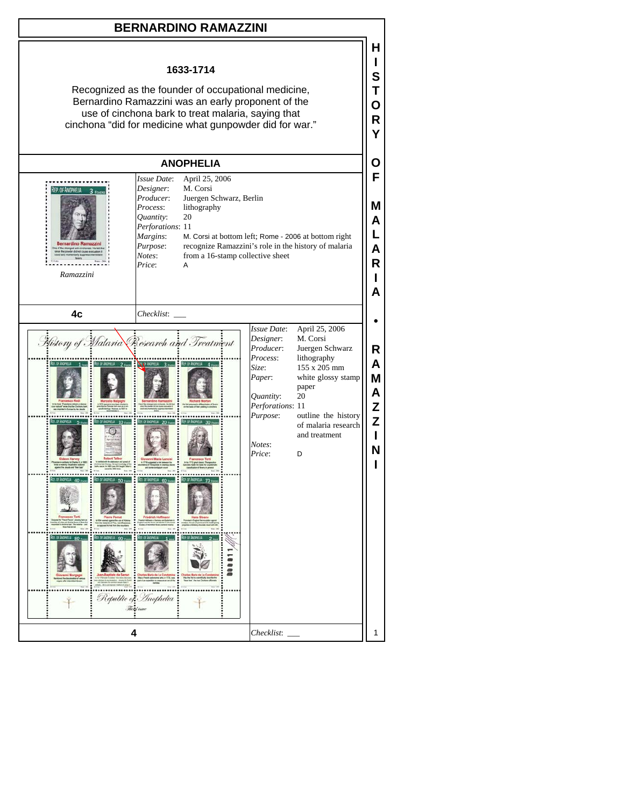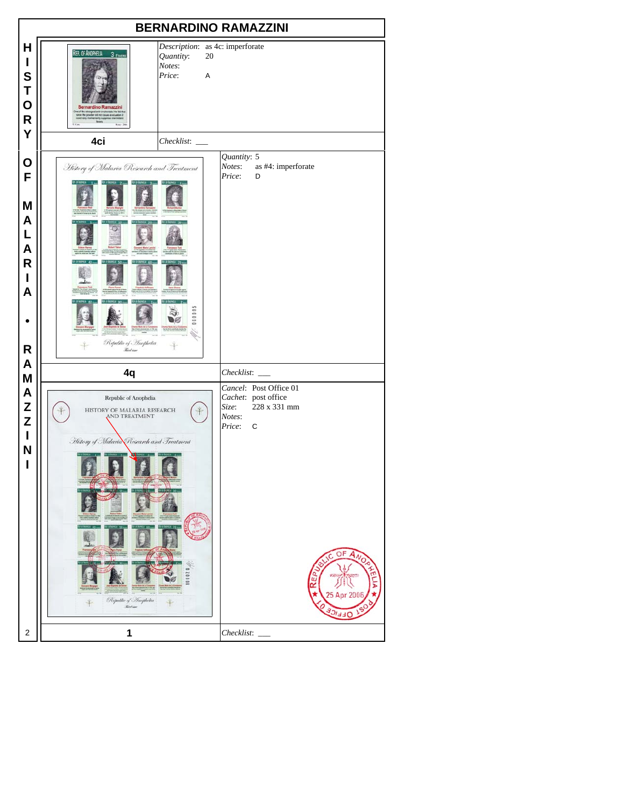| <b>BERNARDINO RAMAZZINI</b>                    |                                                                                                                                                                 |                                                                                                                                      |
|------------------------------------------------|-----------------------------------------------------------------------------------------------------------------------------------------------------------------|--------------------------------------------------------------------------------------------------------------------------------------|
| H<br>I<br>S<br>Τ<br>O<br>$\mathsf R$<br>Y      | REP. OF ANOPHELIA<br>3 FEVERS<br>Quantity:<br>Notes:<br>Price:<br><b>Bernardino Ramazzini</b><br>of the sittingest anti-onchors<br>not the powder did not cause | Description: as 4c: imperforate<br>20<br>A                                                                                           |
|                                                | 4ci<br>$Checklist:$ $\_\_$                                                                                                                                      |                                                                                                                                      |
| O<br>F<br>M<br>A<br>L<br>A<br>R<br>I<br>A<br>R | History of Malaria Research and Treatment<br>,,,,,,<br>Republic of Anophelia<br>Red iver                                                                        | Quantity: 5<br>Notes:<br>as #4: imperforate<br>Price:<br>D                                                                           |
| A                                              | 4q                                                                                                                                                              | Checklist:                                                                                                                           |
| M<br>A<br>Z<br>Z<br>I<br>N<br>ı                | Republic of Anophelia<br>HISTORY OF MALARIA RESEARCH AND TREATMENT<br>History of Malaria Research and Treatment<br>Republic of Inophetia<br><b>Red car</b>      | Cancel: Post Office 01<br>Cachet: post office<br>228 x 331 mm<br>Size:<br>Notes:<br>Price:<br>C<br>OF<br>ш<br>œ<br>5 Apr 200<br>ショコロ |
| $\overline{\mathbf{c}}$                        | 1                                                                                                                                                               | Checklist:                                                                                                                           |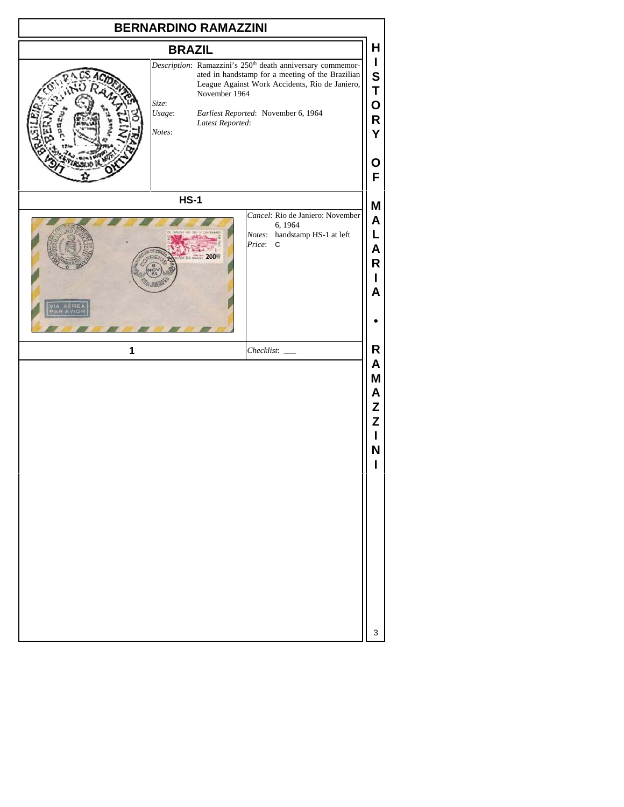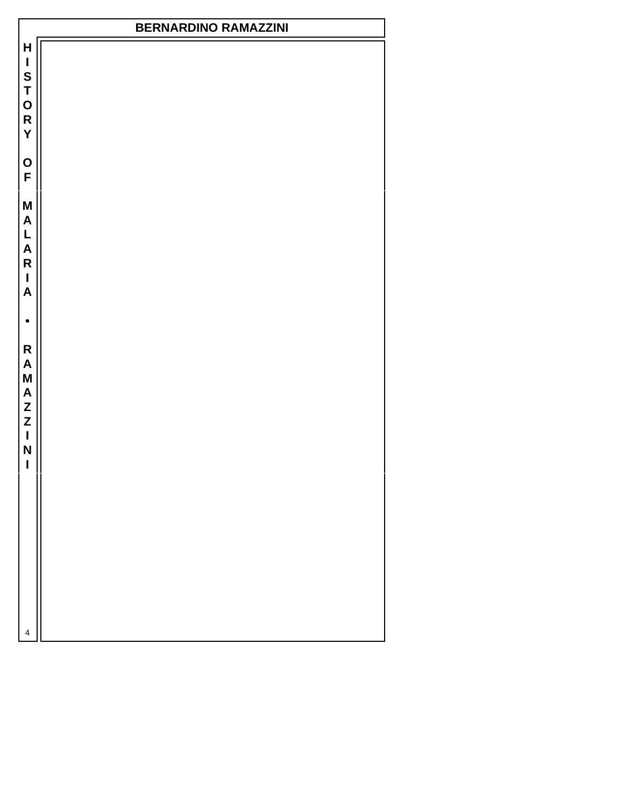## **BERNARDINO RAMAZZINI**

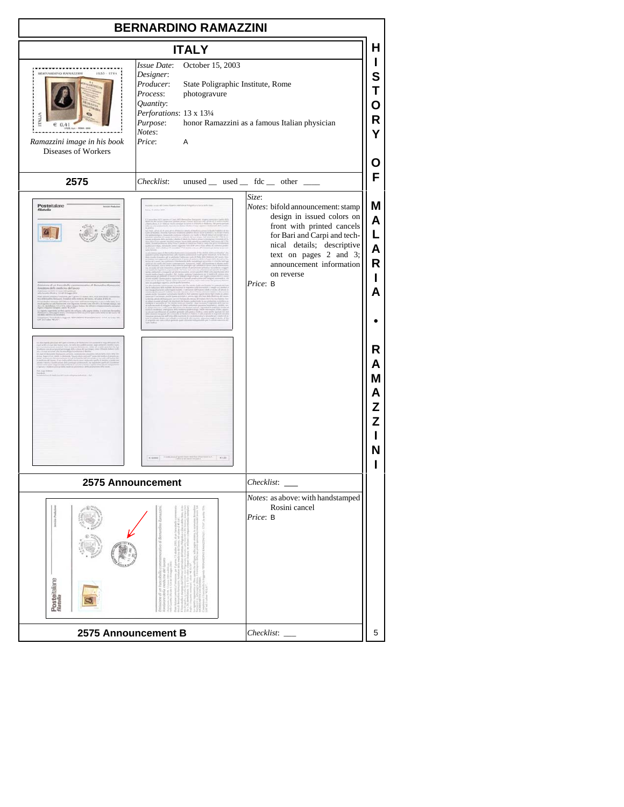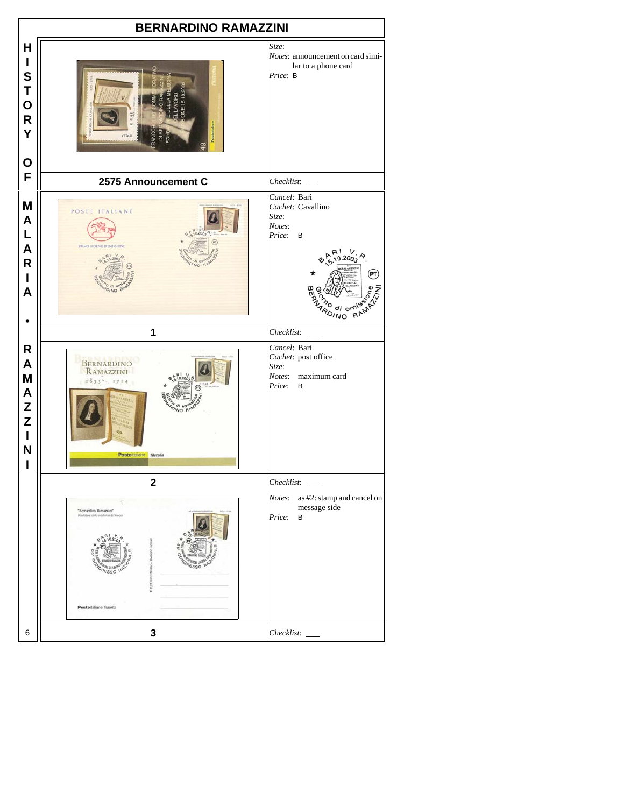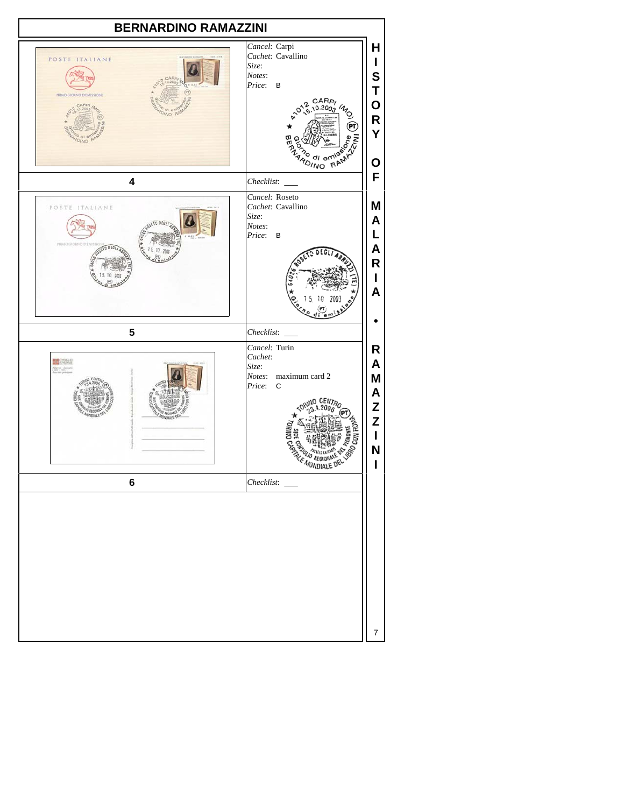